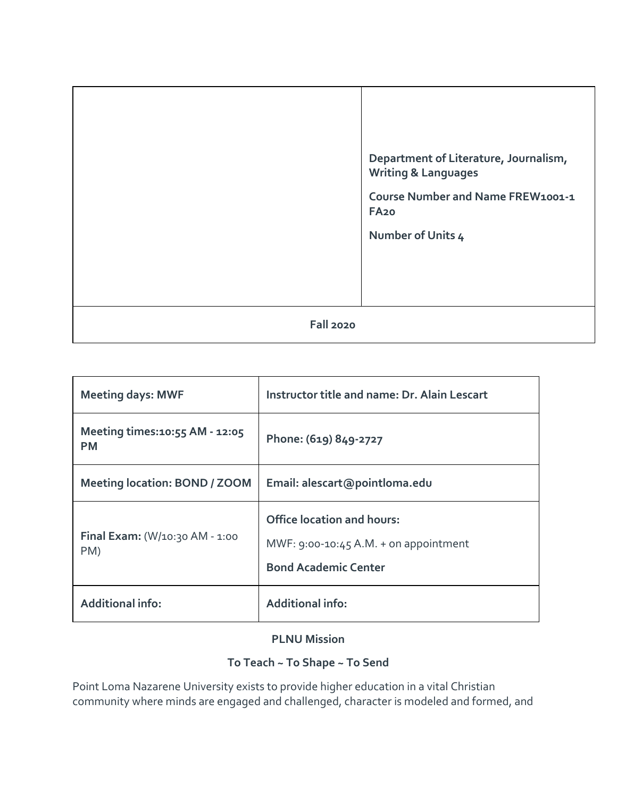|                  | Department of Literature, Journalism,<br><b>Writing &amp; Languages</b><br>Course Number and Name FREW1001-1<br>FA <sub>20</sub><br>Number of Units 4 |
|------------------|-------------------------------------------------------------------------------------------------------------------------------------------------------|
| <b>Fall 2020</b> |                                                                                                                                                       |

| <b>Meeting days: MWF</b>                       | Instructor title and name: Dr. Alain Lescart                                                                |
|------------------------------------------------|-------------------------------------------------------------------------------------------------------------|
| Meeting times: 10:55 AM - 12:05<br><b>PM</b>   | Phone: (619) 849-2727                                                                                       |
| <b>Meeting location: BOND / ZOOM</b>           | Email: alescart@pointloma.edu                                                                               |
| <b>Final Exam:</b> $(W/10:30$ AM - 1:00<br>PM) | <b>Office location and hours:</b><br>MWF: $9:00-10:45$ A.M. + on appointment<br><b>Bond Academic Center</b> |
| <b>Additional info:</b>                        | <b>Additional info:</b>                                                                                     |

# **PLNU Mission**

# **To Teach ~ To Shape ~ To Send**

Point Loma Nazarene University exists to provide higher education in a vital Christian community where minds are engaged and challenged, character is modeled and formed, and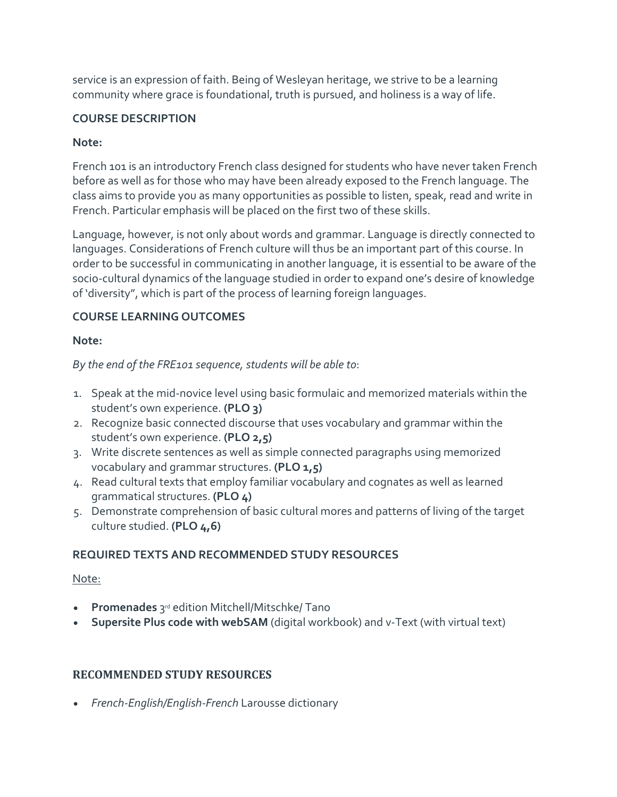service is an expression of faith. Being of Wesleyan heritage, we strive to be a learning community where grace is foundational, truth is pursued, and holiness is a way of life.

### **COURSE DESCRIPTION**

### **Note:**

French 101 is an introductory French class designed for students who have never taken French before as well as for those who may have been already exposed to the French language. The class aims to provide you as many opportunities as possible to listen, speak, read and write in French. Particular emphasis will be placed on the first two of these skills.

Language, however, is not only about words and grammar. Language is directly connected to languages. Considerations of French culture will thus be an important part of this course. In order to be successful in communicating in another language, it is essential to be aware of the socio-cultural dynamics of the language studied in order to expand one's desire of knowledge of 'diversity", which is part of the process of learning foreign languages.

# **COURSE LEARNING OUTCOMES**

### **Note:**

*By the end of the FRE101 sequence, students will be able to*:

- 1. Speak at the mid-novice level using basic formulaic and memorized materials within the student's own experience. **(PLO 3)**
- 2. Recognize basic connected discourse that uses vocabulary and grammar within the student's own experience. **(PLO 2,5)**
- 3. Write discrete sentences as well as simple connected paragraphs using memorized vocabulary and grammar structures. **(PLO 1,5)**
- 4. Read cultural texts that employ familiar vocabulary and cognates as well as learned grammatical structures. **(PLO 4)**
- 5. Demonstrate comprehension of basic cultural mores and patterns of living of the target culture studied. **(PLO 4,6)**

# **REQUIRED TEXTS AND RECOMMENDED STUDY RESOURCES**

### Note:

- **Promenades** 3rd edition Mitchell/Mitschke/ Tano
- **Supersite Plus code with webSAM** (digital workbook) and v-Text (with virtual text)

# **RECOMMENDED STUDY RESOURCES**

• *French-English/English-French* Larousse dictionary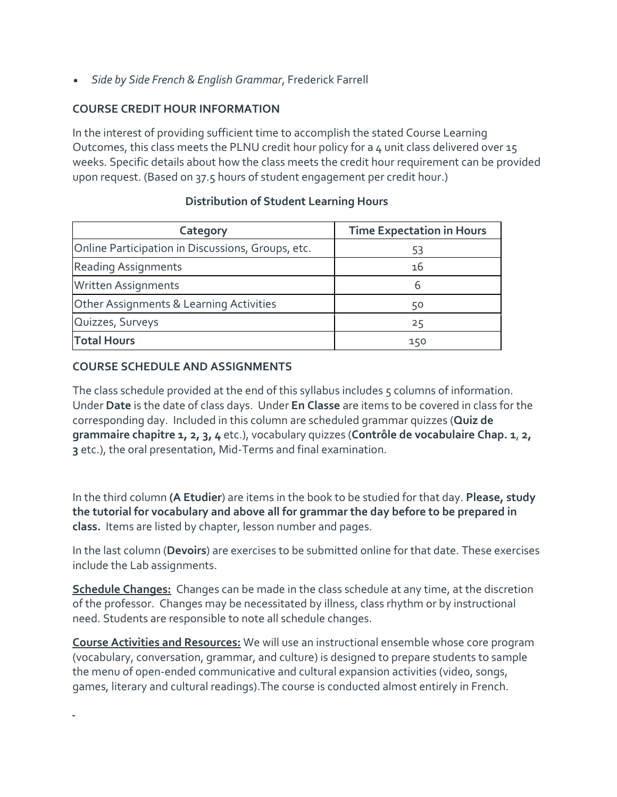• *Side by Side French & English Grammar*, Frederick Farrell

# **COURSE CREDIT HOUR INFORMATION**

In the interest of providing sufficient time to accomplish the stated Course Learning Outcomes, this class meets the PLNU credit hour policy for a 4 unit class delivered over 15 weeks. Specific details about how the class meets the credit hour requirement can be provided upon request. (Based on 37.5 hours of student engagement per credit hour.)

| Category                                          | <b>Time Expectation in Hours</b> |
|---------------------------------------------------|----------------------------------|
| Online Participation in Discussions, Groups, etc. | 53                               |
| <b>Reading Assignments</b>                        | 16                               |
| Written Assignments                               | 6                                |
| Other Assignments & Learning Activities           | 50                               |
| Quizzes, Surveys                                  | 25                               |
| <b>Total Hours</b>                                | 150                              |

### **Distribution of Student Learning Hours**

### **COURSE SCHEDULE AND ASSIGNMENTS**

The class schedule provided at the end of this syllabus includes 5 columns of information. Under **Date** is the date of class days. Under **En Classe** are items to be covered in class for the corresponding day. Included in this column are scheduled grammar quizzes (**Quiz de grammaire chapitre 1, 2, 3, 4** etc.), vocabulary quizzes (**Contrôle de vocabulaire Chap. 1**, **2, 3** etc.), the oral presentation, Mid-Terms and final examination.

In the third column **(A Etudier**) are items in the book to be studied for that day. **Please, study the tutorial for vocabulary and above all for grammar the day before to be prepared in class.** Items are listed by chapter, lesson number and pages.

In the last column (**Devoirs**) are exercises to be submitted online for that date. These exercises include the Lab assignments.

**Schedule Changes:** Changes can be made in the class schedule at any time, at the discretion of the professor. Changes may be necessitated by illness, class rhythm or by instructional need. Students are responsible to note all schedule changes.

**Course Activities and Resources:** We will use an instructional ensemble whose core program (vocabulary, conversation, grammar, and culture) is designed to prepare students to sample the menu of open-ended communicative and cultural expansion activities (video, songs, games, literary and cultural readings).The course is conducted almost entirely in French.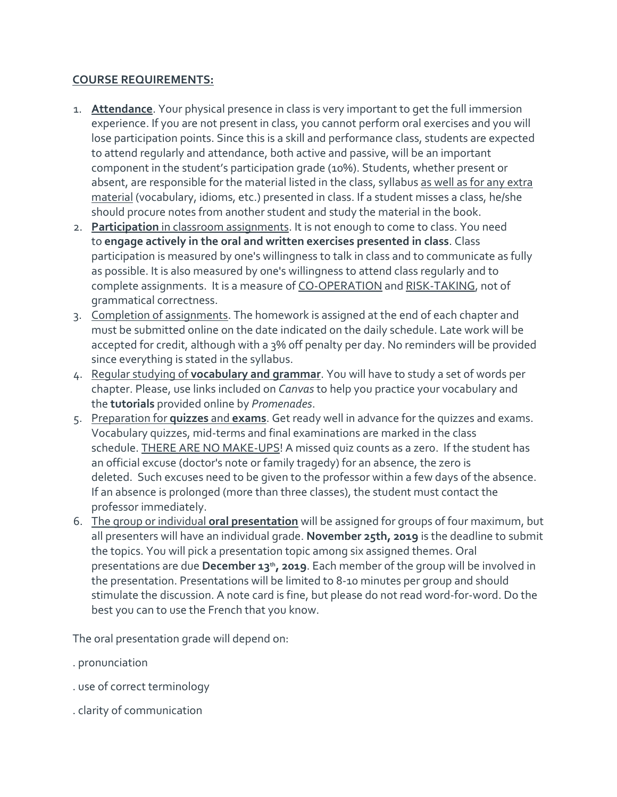#### **COURSE REQUIREMENTS:**

- 1. **Attendance**. Your physical presence in class is very important to get the full immersion experience. If you are not present in class, you cannot perform oral exercises and you will lose participation points. Since this is a skill and performance class, students are expected to attend regularly and attendance, both active and passive, will be an important component in the student's participation grade (10%). Students, whether present or absent, are responsible for the material listed in the class, syllabus as well as for any extra material (vocabulary, idioms, etc.) presented in class. If a student misses a class, he/she should procure notes from another student and study the material in the book.
- 2. **Participation** in classroom assignments. It is not enough to come to class. You need to **engage actively in the oral and written exercises presented in class**. Class participation is measured by one's willingness to talk in class and to communicate as fully as possible. It is also measured by one's willingness to attend class regularly and to complete assignments. It is a measure of CO-OPERATION and RISK-TAKING, not of grammatical correctness.
- 3. Completion of assignments. The homework is assigned at the end of each chapter and must be submitted online on the date indicated on the daily schedule. Late work will be accepted for credit, although with a 3% off penalty per day. No reminders will be provided since everything is stated in the syllabus.
- 4. Regular studying of **vocabulary and grammar**. You will have to study a set of words per chapter. Please, use links included on *Canvas* to help you practice your vocabulary and the **tutorials** provided online by *Promenades*.
- 5. Preparation for **quizzes** and **exams**. Get ready well in advance for the quizzes and exams. Vocabulary quizzes, mid-terms and final examinations are marked in the class schedule. THERE ARE NO MAKE-UPS! A missed quiz counts as a zero. If the student has an official excuse (doctor's note or family tragedy) for an absence, the zero is deleted. Such excuses need to be given to the professor within a few days of the absence. If an absence is prolonged (more than three classes), the student must contact the professor immediately.
- 6. The group or individual **oral presentation** will be assigned for groups of four maximum, but all presenters will have an individual grade. **November 25th, 2019** is the deadline to submit the topics. You will pick a presentation topic among six assigned themes. Oral presentations are due **December 13th, 2019**. Each member of the group will be involved in the presentation. Presentations will be limited to 8-10 minutes per group and should stimulate the discussion. A note card is fine, but please do not read word-for-word. Do the best you can to use the French that you know.

The oral presentation grade will depend on:

- . pronunciation
- . use of correct terminology
- . clarity of communication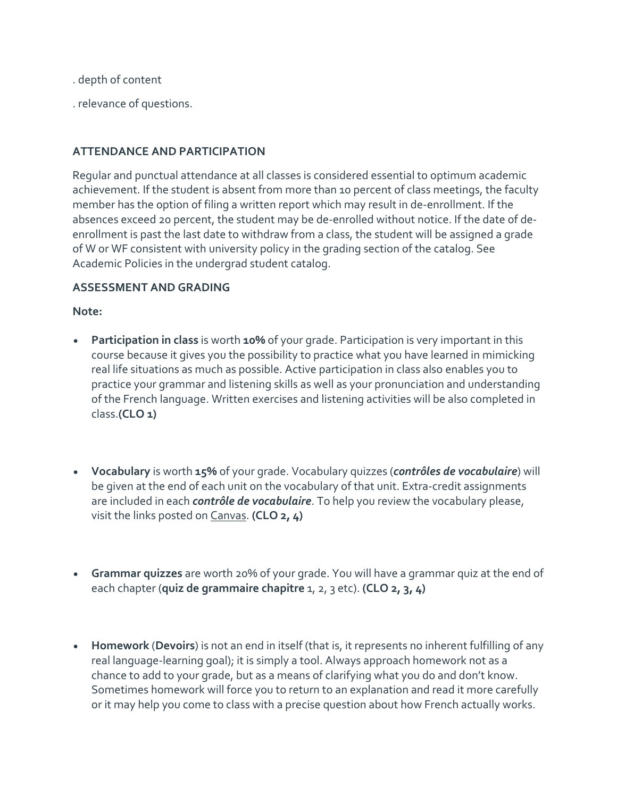- . depth of content
- . relevance of questions.

### **ATTENDANCE AND PARTICIPATION**

Regular and punctual attendance at all classes is considered essential to optimum academic achievement. If the student is absent from more than 10 percent of class meetings, the faculty member has the option of filing a written report which may result in de-enrollment. If the absences exceed 20 percent, the student may be de-enrolled without notice. If the date of deenrollment is past the last date to withdraw from a class, the student will be assigned a grade of W or WF consistent with university policy in the grading section of the catalog. See Academic Policies in the undergrad student catalog.

#### **ASSESSMENT AND GRADING**

#### **Note:**

- **Participation in class** is worth **10%** of your grade. Participation is very important in this course because it gives you the possibility to practice what you have learned in mimicking real life situations as much as possible. Active participation in class also enables you to practice your grammar and listening skills as well as your pronunciation and understanding of the French language. Written exercises and listening activities will be also completed in class.**(CLO 1)**
- **Vocabulary** is worth **15%** of your grade. Vocabulary quizzes (*contrôles de vocabulaire*) will be given at the end of each unit on the vocabulary of that unit. Extra-credit assignments are included in each *contrôle de vocabulaire*. To help you review the vocabulary please, visit the links posted on Canvas. **(CLO 2, 4)**
- **Grammar quizzes** are worth 20% of your grade. You will have a grammar quiz at the end of each chapter (**quiz de grammaire chapitre** 1, 2, 3 etc). **(CLO 2, 3, 4)**
- **Homework** (**Devoirs**) is not an end in itself (that is, it represents no inherent fulfilling of any real language-learning goal); it is simply a tool. Always approach homework not as a chance to add to your grade, but as a means of clarifying what you do and don't know. Sometimes homework will force you to return to an explanation and read it more carefully or it may help you come to class with a precise question about how French actually works.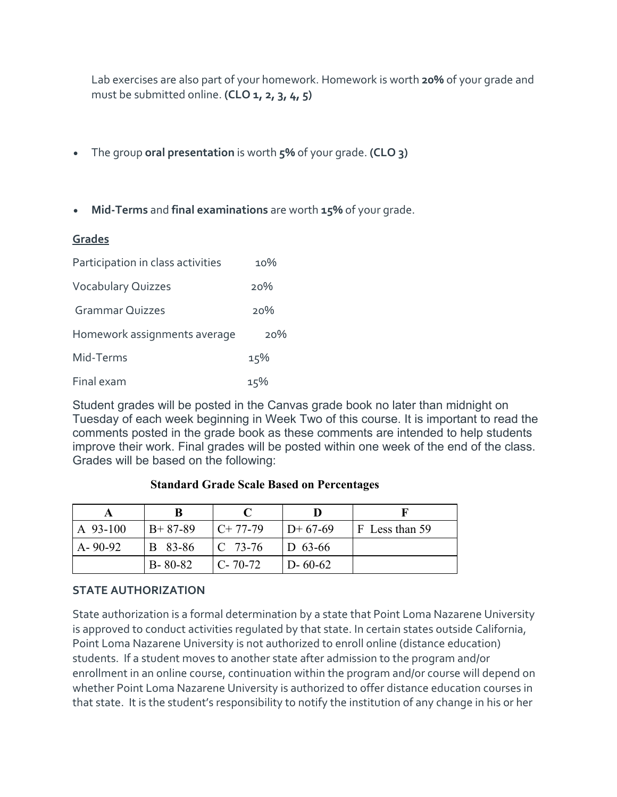Lab exercises are also part of your homework. Homework is worth **20%** of your grade and must be submitted online. **(CLO 1, 2, 3, 4, 5)**

- The group **oral presentation** is worth **5%** of your grade. **(CLO 3)**
- **Mid-Terms** and **final examinations** are worth **15%** of your grade.

#### **Grades**

| Participation in class activities | 10% |
|-----------------------------------|-----|
| <b>Vocabulary Quizzes</b>         | 20% |
| <b>Grammar Quizzes</b>            | 20% |
| Homework assignments average      | 20% |
| Mid-Terms                         | 15% |
| Final exam                        | 15% |

Student grades will be posted in the Canvas grade book no later than midnight on Tuesday of each week beginning in Week Two of this course. It is important to read the comments posted in the grade book as these comments are intended to help students improve their work. Final grades will be posted within one week of the end of the class. Grades will be based on the following:

# **A B C D F** A 93-100 | B+ 87-89 | C+ 77-79 | D+ 67-69 | F Less than 59 A- 90-92 B 83-86 C 73-76 D 63-66 B- 80-82  $\vert$  C- 70-72  $\vert$  D- 60-62

#### **Standard Grade Scale Based on Percentages**

#### **STATE AUTHORIZATION**

State authorization is a formal determination by a state that Point Loma Nazarene University is approved to conduct activities regulated by that state. In certain states outside California, Point Loma Nazarene University is not authorized to enroll online (distance education) students. If a student moves to another state after admission to the program and/or enrollment in an online course, continuation within the program and/or course will depend on whether Point Loma Nazarene University is authorized to offer distance education courses in that state. It is the student's responsibility to notify the institution of any change in his or her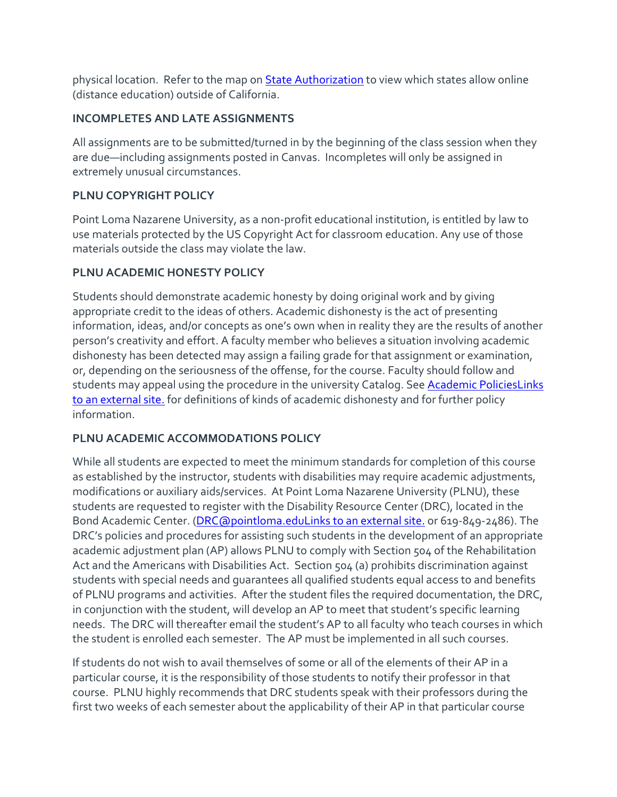physical location. Refer to the map on **[State Authorization](https://www.pointloma.edu/offices/office-institutional-effectiveness-research/disclosures)** to view which states allow online (distance education) outside of California.

# **INCOMPLETES AND LATE ASSIGNMENTS**

All assignments are to be submitted/turned in by the beginning of the class session when they are due—including assignments posted in Canvas. Incompletes will only be assigned in extremely unusual circumstances.

# **PLNU COPYRIGHT POLICY**

Point Loma Nazarene University, as a non-profit educational institution, is entitled by law to use materials protected by the US Copyright Act for classroom education. Any use of those materials outside the class may violate the law.

# **PLNU ACADEMIC HONESTY POLICY**

Students should demonstrate academic honesty by doing original work and by giving appropriate credit to the ideas of others. Academic dishonesty is the act of presenting information, ideas, and/or concepts as one's own when in reality they are the results of another person's creativity and effort. A faculty member who believes a situation involving academic dishonesty has been detected may assign a failing grade for that assignment or examination, or, depending on the seriousness of the offense, for the course. Faculty should follow and students may appeal using the procedure in the university Catalog. See [Academic PoliciesLinks](http://catalog.pointloma.edu/content.php?catoid=18&navoid=1278) to an [external](http://catalog.pointloma.edu/content.php?catoid=18&navoid=1278) site. for definitions of kinds of academic dishonesty and for further policy information.

# **PLNU ACADEMIC ACCOMMODATIONS POLICY**

While all students are expected to meet the minimum standards for completion of this course as established by the instructor, students with disabilities may require academic adjustments, modifications or auxiliary aids/services. At Point Loma Nazarene University (PLNU), these students are requested to register with the Disability Resource Center (DRC), located in the Bond Academic Center. [\(DRC@pointloma.eduLinks](https://mail.google.com/mail/?view=cm&fs=1&tf=1&to=DRC@pointloma.edu) to an external site. or 619-849-2486). The DRC's policies and procedures for assisting such students in the development of an appropriate academic adjustment plan (AP) allows PLNU to comply with Section 504 of the Rehabilitation Act and the Americans with Disabilities Act. Section 504 (a) prohibits discrimination against students with special needs and guarantees all qualified students equal access to and benefits of PLNU programs and activities. After the student files the required documentation, the DRC, in conjunction with the student, will develop an AP to meet that student's specific learning needs. The DRC will thereafter email the student's AP to all faculty who teach courses in which the student is enrolled each semester. The AP must be implemented in all such courses.

If students do not wish to avail themselves of some or all of the elements of their AP in a particular course, it is the responsibility of those students to notify their professor in that course. PLNU highly recommends that DRC students speak with their professors during the first two weeks of each semester about the applicability of their AP in that particular course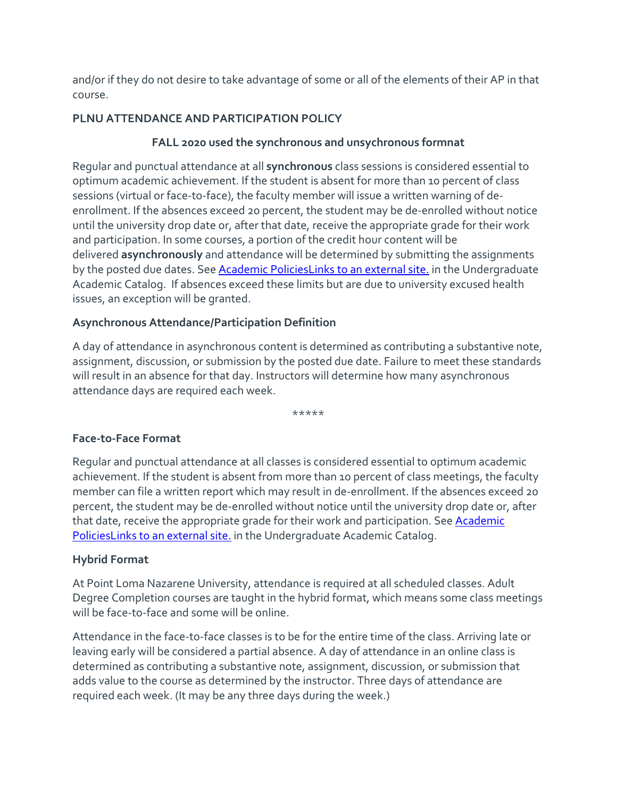and/or if they do not desire to take advantage of some or all of the elements of their AP in that course.

# **PLNU ATTENDANCE AND PARTICIPATION POLICY**

# **FALL 2020 used the synchronous and unsychronous formnat**

Regular and punctual attendance at all **synchronous** class sessions is considered essential to optimum academic achievement. If the student is absent for more than 10 percent of class sessions (virtual or face-to-face), the faculty member will issue a written warning of deenrollment. If the absences exceed 20 percent, the student may be de-enrolled without notice until the university drop date or, after that date, receive the appropriate grade for their work and participation. In some courses, a portion of the credit hour content will be delivered **asynchronously** and attendance will be determined by submitting the assignments by the posted due dates. See **[Academic PoliciesLinks](https://catalog.pointloma.edu/content.php?catoid=46&navoid=2650#Class_Attendance) to an external site**, in the Undergraduate Academic Catalog. If absences exceed these limits but are due to university excused health issues, an exception will be granted.

# **Asynchronous Attendance/Participation Definition**

A day of attendance in asynchronous content is determined as contributing a substantive note, assignment, discussion, or submission by the posted due date. Failure to meet these standards will result in an absence for that day. Instructors will determine how many asynchronous attendance days are required each week.

\*\*\*\*\*

# **Face-to-Face Format**

Regular and punctual attendance at all classes is considered essential to optimum academic achievement. If the student is absent from more than 10 percent of class meetings, the faculty member can file a written report which may result in de-enrollment. If the absences exceed 20 percent, the student may be de-enrolled without notice until the university drop date or, after that date, receive the appropriate grade for their work and participation. See [Academic](http://catalog.pointloma.edu/content.php?catoid=18&navoid=1278)  [PoliciesLinks](http://catalog.pointloma.edu/content.php?catoid=18&navoid=1278) to an external site. in the Undergraduate Academic Catalog.

# **Hybrid Format**

At Point Loma Nazarene University, attendance is required at all scheduled classes. Adult Degree Completion courses are taught in the hybrid format, which means some class meetings will be face-to-face and some will be online.

Attendance in the face-to-face classes is to be for the entire time of the class. Arriving late or leaving early will be considered a partial absence. A day of attendance in an online class is determined as contributing a substantive note, assignment, discussion, or submission that adds value to the course as determined by the instructor. Three days of attendance are required each week. (It may be any three days during the week.)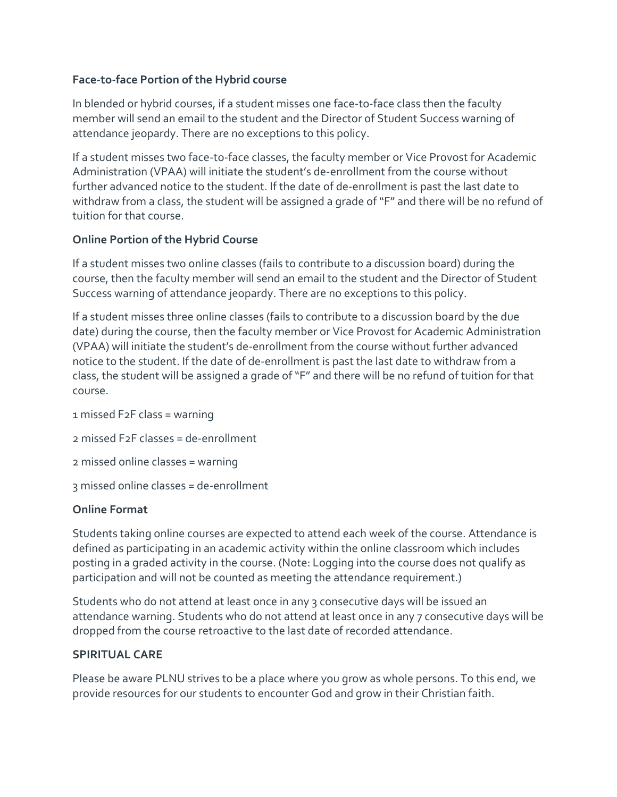### **Face-to-face Portion of the Hybrid course**

In blended or hybrid courses, if a student misses one face-to-face class then the faculty member will send an email to the student and the Director of Student Success warning of attendance jeopardy. There are no exceptions to this policy.

If a student misses two face-to-face classes, the faculty member or Vice Provost for Academic Administration (VPAA) will initiate the student's de-enrollment from the course without further advanced notice to the student. If the date of de-enrollment is past the last date to withdraw from a class, the student will be assigned a grade of "F" and there will be no refund of tuition for that course.

#### **Online Portion of the Hybrid Course**

If a student misses two online classes (fails to contribute to a discussion board) during the course, then the faculty member will send an email to the student and the Director of Student Success warning of attendance jeopardy. There are no exceptions to this policy.

If a student misses three online classes (fails to contribute to a discussion board by the due date) during the course, then the faculty member or Vice Provost for Academic Administration (VPAA) will initiate the student's de-enrollment from the course without further advanced notice to the student. If the date of de-enrollment is past the last date to withdraw from a class, the student will be assigned a grade of "F" and there will be no refund of tuition for that course.

1 missed F2F class = warning

2 missed F2F classes = de-enrollment

2 missed online classes = warning

3 missed online classes = de-enrollment

#### **Online Format**

Students taking online courses are expected to attend each week of the course. Attendance is defined as participating in an academic activity within the online classroom which includes posting in a graded activity in the course. (Note: Logging into the course does not qualify as participation and will not be counted as meeting the attendance requirement.)

Students who do not attend at least once in any 3 consecutive days will be issued an attendance warning. Students who do not attend at least once in any 7 consecutive days will be dropped from the course retroactive to the last date of recorded attendance.

#### **SPIRITUAL CARE**

Please be aware PLNU strives to be a place where you grow as whole persons. To this end, we provide resources for our students to encounter God and grow in their Christian faith.